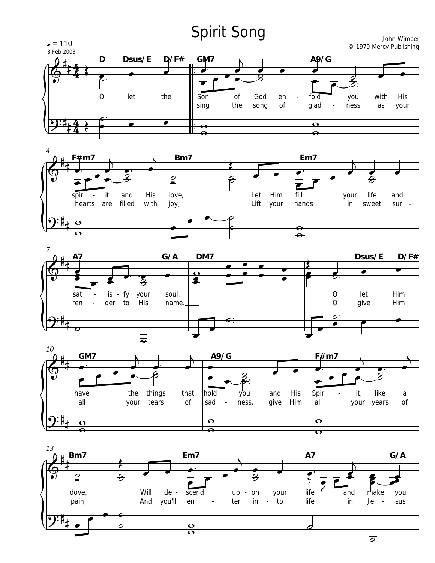## **Spirit Song**

 $J = 110$ 

John Wimber © 1979 Mercy Publishing